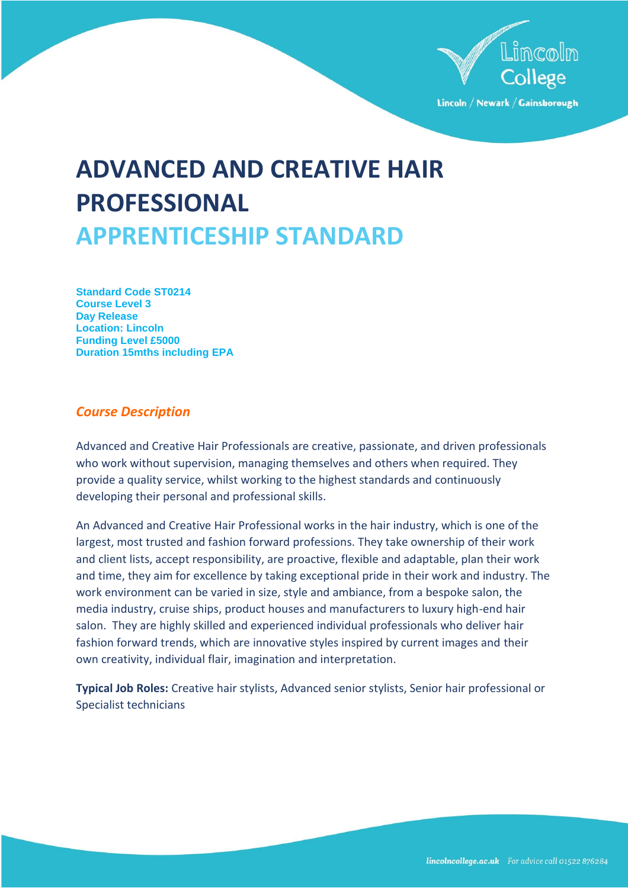

# **ADVANCED AND CREATIVE HAIR PROFESSIONAL APPRENTICESHIP STANDARD**

**Standard Code ST0214 Course Level 3 Day Release Location: Lincoln Funding Level £5000 Duration 15mths including EPA**

# *Course Description*

Advanced and Creative Hair Professionals are creative, passionate, and driven professionals who work without supervision, managing themselves and others when required. They provide a quality service, whilst working to the highest standards and continuously developing their personal and professional skills.

An Advanced and Creative Hair Professional works in the hair industry, which is one of the largest, most trusted and fashion forward professions. They take ownership of their work and client lists, accept responsibility, are proactive, flexible and adaptable, plan their work and time, they aim for excellence by taking exceptional pride in their work and industry. The work environment can be varied in size, style and ambiance, from a bespoke salon, the media industry, cruise ships, product houses and manufacturers to luxury high-end hair salon. They are highly skilled and experienced individual professionals who deliver hair fashion forward trends, which are innovative styles inspired by current images and their own creativity, individual flair, imagination and interpretation.

**Typical Job Roles:** Creative hair stylists, Advanced senior stylists, Senior hair professional or Specialist technicians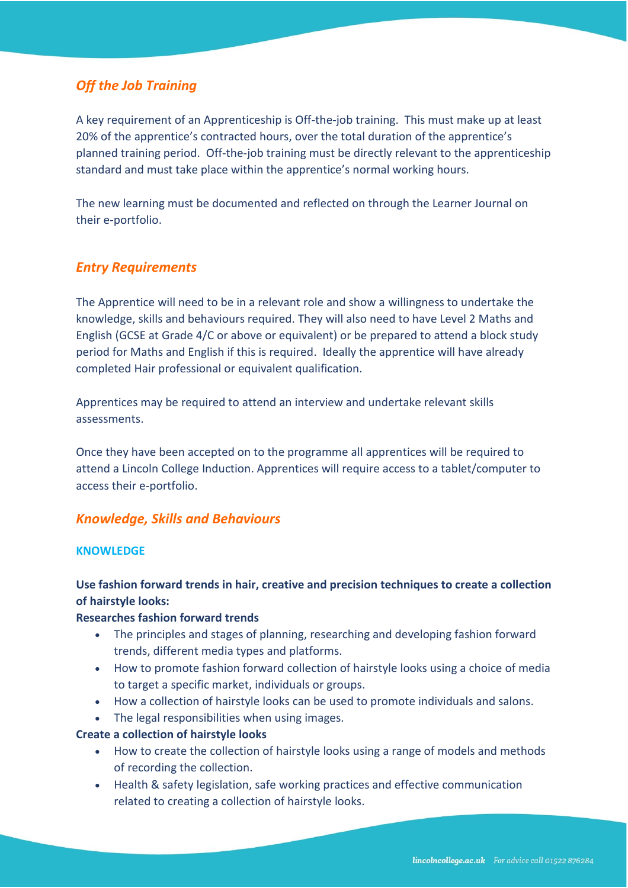# *Off the Job Training*

A key requirement of an Apprenticeship is Off-the-job training. This must make up at least 20% of the apprentice's contracted hours, over the total duration of the apprentice's planned training period. Off-the-job training must be directly relevant to the apprenticeship standard and must take place within the apprentice's normal working hours.

The new learning must be documented and reflected on through the Learner Journal on their e-portfolio.

# *Entry Requirements*

The Apprentice will need to be in a relevant role and show a willingness to undertake the knowledge, skills and behaviours required. They will also need to have Level 2 Maths and English (GCSE at Grade 4/C or above or equivalent) or be prepared to attend a block study period for Maths and English if this is required. Ideally the apprentice will have already completed Hair professional or equivalent qualification.

Apprentices may be required to attend an interview and undertake relevant skills assessments.

Once they have been accepted on to the programme all apprentices will be required to attend a Lincoln College Induction. Apprentices will require access to a tablet/computer to access their e-portfolio.

## *Knowledge, Skills and Behaviours*

#### **KNOWLEDGE**

# **Use fashion forward trends in hair, creative and precision techniques to create a collection of hairstyle looks:**

## **Researches fashion forward trends**

- The principles and stages of planning, researching and developing fashion forward trends, different media types and platforms.
- How to promote fashion forward collection of hairstyle looks using a choice of media to target a specific market, individuals or groups.
- How a collection of hairstyle looks can be used to promote individuals and salons.
- The legal responsibilities when using images.

#### **Create a collection of hairstyle looks**

- How to create the collection of hairstyle looks using a range of models and methods of recording the collection.
- Health & safety legislation, safe working practices and effective communication related to creating a collection of hairstyle looks.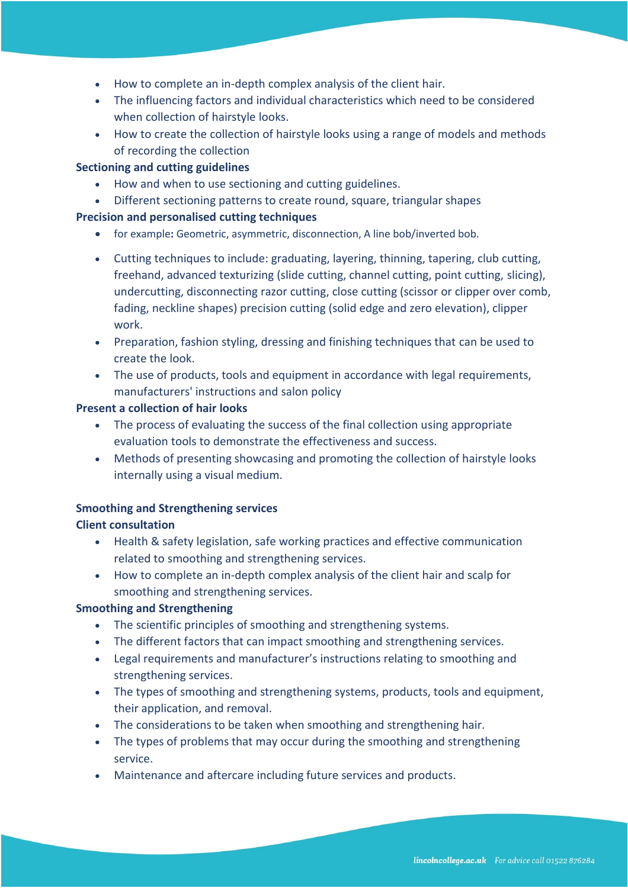- How to complete an in-depth complex analysis of the client hair.
- The influencing factors and individual characteristics which need to be considered when collection of hairstyle looks.
- How to create the collection of hairstyle looks using a range of models and methods of recording the collection

## **Sectioning and cutting guidelines**

- How and when to use sectioning and cutting guidelines.
- Different sectioning patterns to create round, square, triangular shapes

# **Precision and personalised cutting techniques**

- for example**:** Geometric, asymmetric, disconnection, A line bob/inverted bob.
- Cutting techniques to include: graduating, layering, thinning, tapering, club cutting, freehand, advanced texturizing (slide cutting, channel cutting, point cutting, slicing), undercutting, disconnecting razor cutting, close cutting (scissor or clipper over comb, fading, neckline shapes) precision cutting (solid edge and zero elevation), clipper work.
- Preparation, fashion styling, dressing and finishing techniques that can be used to create the look.
- The use of products, tools and equipment in accordance with legal requirements, manufacturers' instructions and salon policy

## **Present a collection of hair looks**

- The process of evaluating the success of the final collection using appropriate evaluation tools to demonstrate the effectiveness and success.
- Methods of presenting showcasing and promoting the collection of hairstyle looks internally using a visual medium.

## **Smoothing and Strengthening services**

## **Client consultation**

- Health & safety legislation, safe working practices and effective communication related to smoothing and strengthening services.
- How to complete an in-depth complex analysis of the client hair and scalp for smoothing and strengthening services.

## **Smoothing and Strengthening**

- The scientific principles of smoothing and strengthening systems.
- The different factors that can impact smoothing and strengthening services.
- Legal requirements and manufacturer's instructions relating to smoothing and strengthening services.
- The types of smoothing and strengthening systems, products, tools and equipment, their application, and removal.
- The considerations to be taken when smoothing and strengthening hair.
- The types of problems that may occur during the smoothing and strengthening service.
- Maintenance and aftercare including future services and products.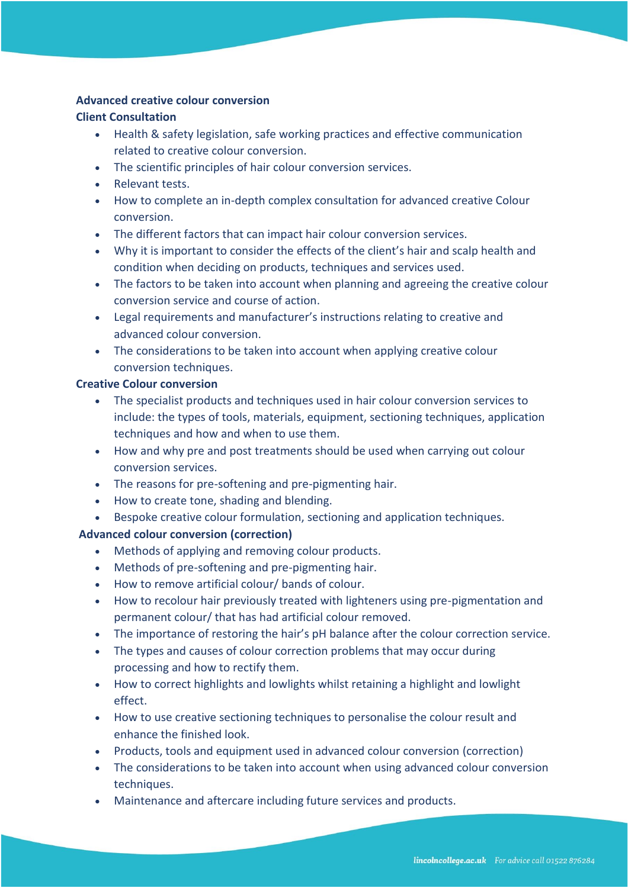#### **Advanced creative colour conversion**

#### **Client Consultation**

- Health & safety legislation, safe working practices and effective communication related to creative colour conversion.
- The scientific principles of hair colour conversion services.
- Relevant tests.
- How to complete an in-depth complex consultation for advanced creative Colour conversion.
- The different factors that can impact hair colour conversion services.
- Why it is important to consider the effects of the client's hair and scalp health and condition when deciding on products, techniques and services used.
- The factors to be taken into account when planning and agreeing the creative colour conversion service and course of action.
- Legal requirements and manufacturer's instructions relating to creative and advanced colour conversion.
- The considerations to be taken into account when applying creative colour conversion techniques.

## **Creative Colour conversion**

- The specialist products and techniques used in hair colour conversion services to include: the types of tools, materials, equipment, sectioning techniques, application techniques and how and when to use them.
- How and why pre and post treatments should be used when carrying out colour conversion services.
- The reasons for pre-softening and pre-pigmenting hair.
- How to create tone, shading and blending.
- Bespoke creative colour formulation, sectioning and application techniques.

## **Advanced colour conversion (correction)**

- Methods of applying and removing colour products.
- Methods of pre-softening and pre-pigmenting hair.
- How to remove artificial colour/ bands of colour.
- How to recolour hair previously treated with lighteners using pre-pigmentation and permanent colour/ that has had artificial colour removed.
- The importance of restoring the hair's pH balance after the colour correction service.
- The types and causes of colour correction problems that may occur during processing and how to rectify them.
- How to correct highlights and lowlights whilst retaining a highlight and lowlight effect.
- How to use creative sectioning techniques to personalise the colour result and enhance the finished look.
- Products, tools and equipment used in advanced colour conversion (correction)
- The considerations to be taken into account when using advanced colour conversion techniques.
- Maintenance and aftercare including future services and products.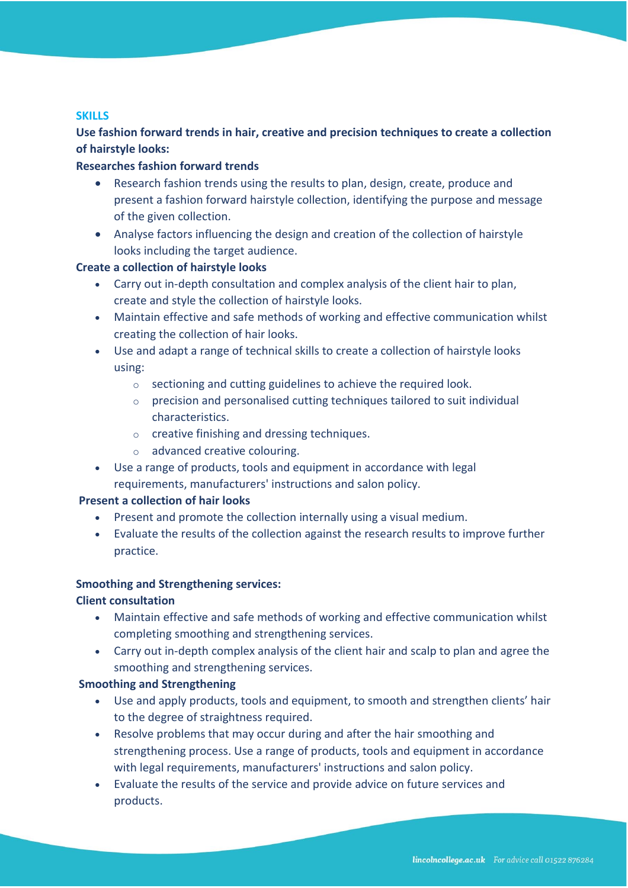## **SKILLS**

**Use fashion forward trends in hair, creative and precision techniques to create a collection of hairstyle looks:**

## **Researches fashion forward trends**

- Research fashion trends using the results to plan, design, create, produce and present a fashion forward hairstyle collection, identifying the purpose and message of the given collection.
- Analyse factors influencing the design and creation of the collection of hairstyle looks including the target audience.

# **Create a collection of hairstyle looks**

- Carry out in-depth consultation and complex analysis of the client hair to plan, create and style the collection of hairstyle looks.
- Maintain effective and safe methods of working and effective communication whilst creating the collection of hair looks.
- Use and adapt a range of technical skills to create a collection of hairstyle looks using:
	- o sectioning and cutting guidelines to achieve the required look.
	- o precision and personalised cutting techniques tailored to suit individual characteristics.
	- o creative finishing and dressing techniques.
	- o advanced creative colouring.
- Use a range of products, tools and equipment in accordance with legal requirements, manufacturers' instructions and salon policy.

## **Present a collection of hair looks**

- Present and promote the collection internally using a visual medium.
- Evaluate the results of the collection against the research results to improve further practice.

## **Smoothing and Strengthening services:**

## **Client consultation**

- Maintain effective and safe methods of working and effective communication whilst completing smoothing and strengthening services.
- Carry out in-depth complex analysis of the client hair and scalp to plan and agree the smoothing and strengthening services.

## **Smoothing and Strengthening**

- Use and apply products, tools and equipment, to smooth and strengthen clients' hair to the degree of straightness required.
- Resolve problems that may occur during and after the hair smoothing and strengthening process. Use a range of products, tools and equipment in accordance with legal requirements, manufacturers' instructions and salon policy.
- Evaluate the results of the service and provide advice on future services and products.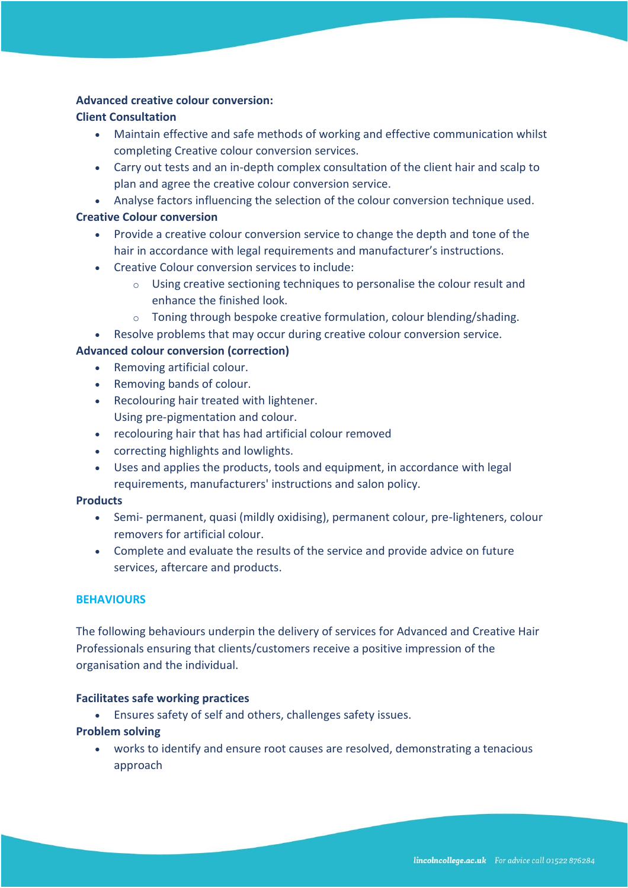#### **Advanced creative colour conversion:**

## **Client Consultation**

- Maintain effective and safe methods of working and effective communication whilst completing Creative colour conversion services.
- Carry out tests and an in-depth complex consultation of the client hair and scalp to plan and agree the creative colour conversion service.
- Analyse factors influencing the selection of the colour conversion technique used.

## **Creative Colour conversion**

- Provide a creative colour conversion service to change the depth and tone of the hair in accordance with legal requirements and manufacturer's instructions.
- Creative Colour conversion services to include:
	- o Using creative sectioning techniques to personalise the colour result and enhance the finished look.
	- o Toning through bespoke creative formulation, colour blending/shading.
- Resolve problems that may occur during creative colour conversion service.

## **Advanced colour conversion (correction)**

- Removing artificial colour.
- Removing bands of colour.
- Recolouring hair treated with lightener. Using pre-pigmentation and colour.
- recolouring hair that has had artificial colour removed
- correcting highlights and lowlights.
- Uses and applies the products, tools and equipment, in accordance with legal requirements, manufacturers' instructions and salon policy.

## **Products**

- Semi- permanent, quasi (mildly oxidising), permanent colour, pre-lighteners, colour removers for artificial colour.
- Complete and evaluate the results of the service and provide advice on future services, aftercare and products.

## **BEHAVIOURS**

The following behaviours underpin the delivery of services for Advanced and Creative Hair Professionals ensuring that clients/customers receive a positive impression of the organisation and the individual.

#### **Facilitates safe working practices**

• Ensures safety of self and others, challenges safety issues.

## **Problem solving**

• works to identify and ensure root causes are resolved, demonstrating a tenacious approach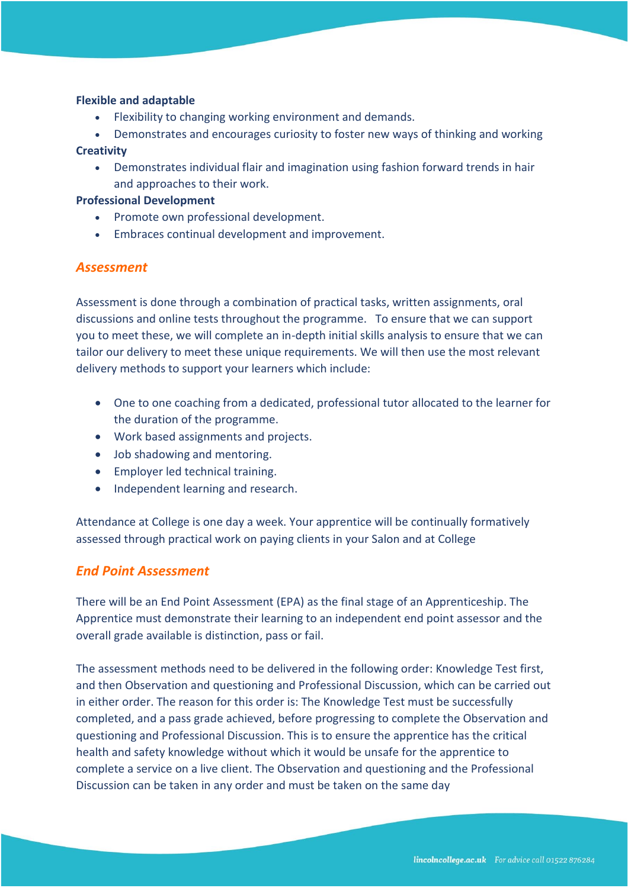#### **Flexible and adaptable**

- Flexibility to changing working environment and demands.
- Demonstrates and encourages curiosity to foster new ways of thinking and working

#### **Creativity**

• Demonstrates individual flair and imagination using fashion forward trends in hair and approaches to their work.

#### **Professional Development**

- Promote own professional development.
- Embraces continual development and improvement.

# *Assessment*

Assessment is done through a combination of practical tasks, written assignments, oral discussions and online tests throughout the programme. To ensure that we can support you to meet these, we will complete an in-depth initial skills analysis to ensure that we can tailor our delivery to meet these unique requirements. We will then use the most relevant delivery methods to support your learners which include:

- One to one coaching from a dedicated, professional tutor allocated to the learner for the duration of the programme.
- Work based assignments and projects.
- Job shadowing and mentoring.
- Employer led technical training.
- Independent learning and research.

Attendance at College is one day a week. Your apprentice will be continually formatively assessed through practical work on paying clients in your Salon and at College

# *End Point Assessment*

There will be an End Point Assessment (EPA) as the final stage of an Apprenticeship. The Apprentice must demonstrate their learning to an independent end point assessor and the overall grade available is distinction, pass or fail.

The assessment methods need to be delivered in the following order: Knowledge Test first, and then Observation and questioning and Professional Discussion, which can be carried out in either order. The reason for this order is: The Knowledge Test must be successfully completed, and a pass grade achieved, before progressing to complete the Observation and questioning and Professional Discussion. This is to ensure the apprentice has the critical health and safety knowledge without which it would be unsafe for the apprentice to complete a service on a live client. The Observation and questioning and the Professional Discussion can be taken in any order and must be taken on the same day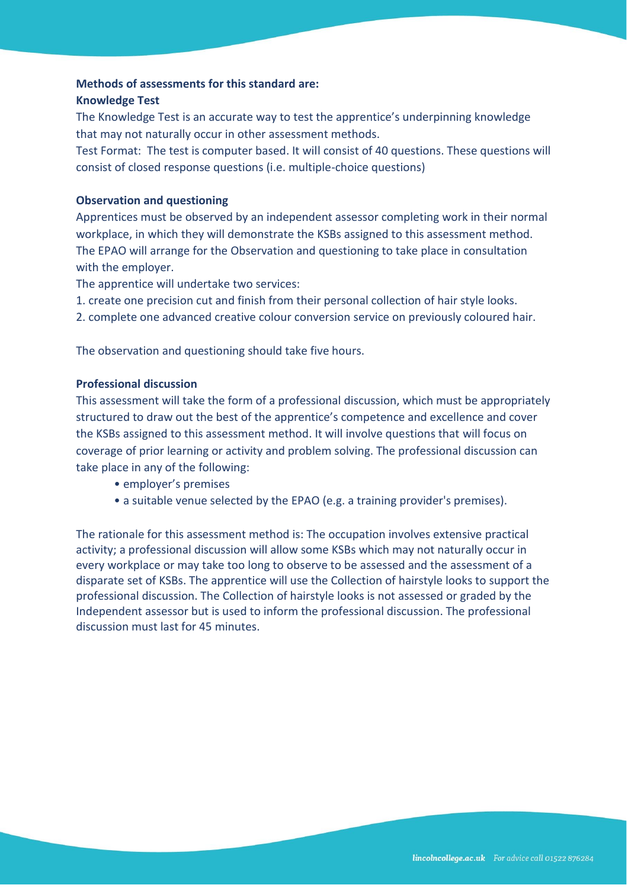## **Methods of assessments for this standard are:**

#### **Knowledge Test**

The Knowledge Test is an accurate way to test the apprentice's underpinning knowledge that may not naturally occur in other assessment methods.

Test Format: The test is computer based. It will consist of 40 questions. These questions will consist of closed response questions (i.e. multiple-choice questions)

## **Observation and questioning**

Apprentices must be observed by an independent assessor completing work in their normal workplace, in which they will demonstrate the KSBs assigned to this assessment method. The EPAO will arrange for the Observation and questioning to take place in consultation with the employer.

The apprentice will undertake two services:

1. create one precision cut and finish from their personal collection of hair style looks.

2. complete one advanced creative colour conversion service on previously coloured hair.

The observation and questioning should take five hours.

## **Professional discussion**

This assessment will take the form of a professional discussion, which must be appropriately structured to draw out the best of the apprentice's competence and excellence and cover the KSBs assigned to this assessment method. It will involve questions that will focus on coverage of prior learning or activity and problem solving. The professional discussion can take place in any of the following:

- employer's premises
- a suitable venue selected by the EPAO (e.g. a training provider's premises).

The rationale for this assessment method is: The occupation involves extensive practical activity; a professional discussion will allow some KSBs which may not naturally occur in every workplace or may take too long to observe to be assessed and the assessment of a disparate set of KSBs. The apprentice will use the Collection of hairstyle looks to support the professional discussion. The Collection of hairstyle looks is not assessed or graded by the Independent assessor but is used to inform the professional discussion. The professional discussion must last for 45 minutes.